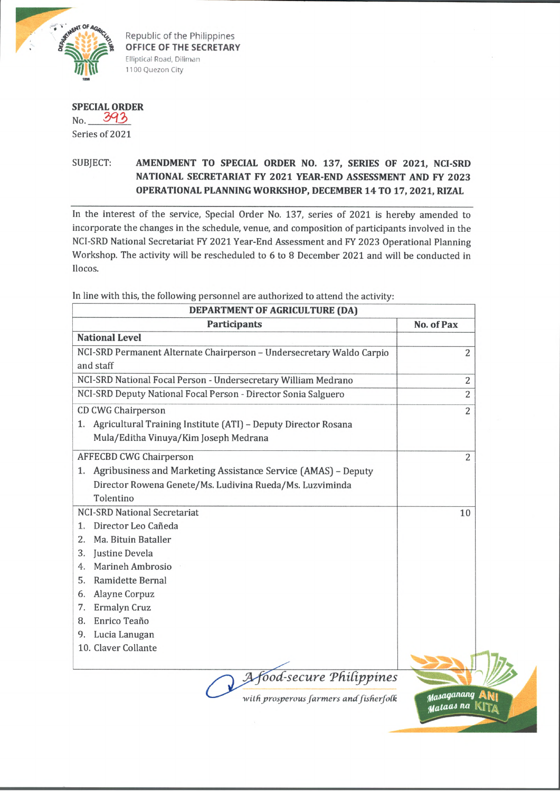

Republic of the Philippines **OFFICE OF THE SECRETARY** Elliptical Road, Diliman 1100 Quezon City

## **SPECIAL ORDER**

 $No. 393$ Series of 2021

## SUBJECT: **AMENDMENT TO SPECIAL ORDER NO.** 137, **SERIES OF** 2021, **NCI-SRD NATIONAL SECRETARIAT FY** 2021 **YEAR-END ASSESSMENT AND FY** 2023 **OPERATIONAL PLANNING WORKSHOP, DECEMBER** 14 **TO** 17, 2021, **RIZAL**

In the interest of the service, Special Order No. 137, series of 2021 is hereby amended to incorporate the changes in the schedule, venue, and composition of participants involved in the NCI-SRD National Secretariat FY 2021 Year-End Assessment and FY 2023 Operational Planning Workshop. The activity will be rescheduled to 6 to 8 December 2021 and will be conducted in Ilocos.

In line with this, the following personnel are authorized to attend the activity:

| DEPARTMENT OF AGRICULTURE (DA)                                        |                         |
|-----------------------------------------------------------------------|-------------------------|
| <b>Participants</b>                                                   | No. of Pax              |
| <b>National Level</b>                                                 |                         |
| NCI-SRD Permanent Alternate Chairperson - Undersecretary Waldo Carpio | 2                       |
| and staff                                                             |                         |
| NCI-SRD National Focal Person - Undersecretary William Medrano        | 2                       |
| NCI-SRD Deputy National Focal Person - Director Sonia Salguero        | $\overline{2}$          |
| <b>CD CWG Chairperson</b>                                             | 2                       |
| Agricultural Training Institute (ATI) - Deputy Director Rosana<br>1.  |                         |
| Mula/Editha Vinuya/Kim Joseph Medrana                                 |                         |
| <b>AFFECBD CWG Chairperson</b>                                        | $\overline{c}$          |
| 1. Agribusiness and Marketing Assistance Service (AMAS) - Deputy      |                         |
| Director Rowena Genete/Ms. Ludivina Rueda/Ms. Luzviminda              |                         |
| Tolentino                                                             |                         |
| <b>NCI-SRD National Secretariat</b>                                   | 10                      |
| Director Leo Cañeda<br>1.                                             |                         |
| Ma. Bituin Bataller<br>2.                                             |                         |
| Justine Devela<br>3.                                                  |                         |
| <b>Marineh Ambrosio</b><br>4.                                         |                         |
| Ramidette Bernal<br>5.                                                |                         |
| Alayne Corpuz<br>6.                                                   |                         |
| Ermalyn Cruz<br>7.                                                    |                         |
| Enrico Teaño<br>8.                                                    |                         |
| 9. Lucia Lanugan                                                      |                         |
| 10. Claver Collante                                                   |                         |
|                                                                       |                         |
| A Afood-secure Philippines                                            |                         |
| with prosperous farmers and fisherfolk                                | Masaganang<br>Mataas na |
|                                                                       |                         |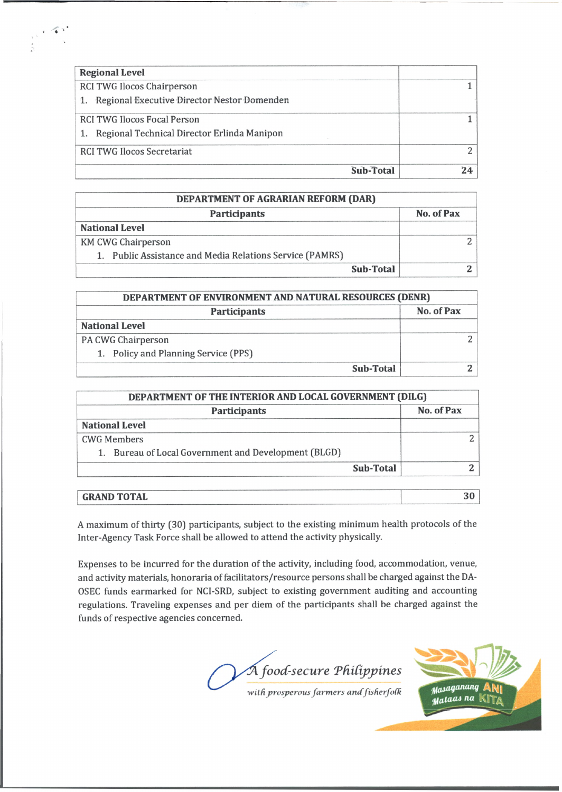| <b>Regional Level</b>                          |    |
|------------------------------------------------|----|
| RCI TWG Ilocos Chairperson                     |    |
| 1. Regional Executive Director Nestor Domenden |    |
| <b>RCI TWG Ilocos Focal Person</b>             |    |
| 1. Regional Technical Director Erlinda Manipon |    |
| <b>RCI TWG Ilocos Secretariat</b>              |    |
| <b>Sub-Total</b>                               | 74 |

| DEPARTMENT OF AGRARIAN REFORM (DAR)                      |            |  |
|----------------------------------------------------------|------------|--|
| <b>Participants</b>                                      | No. of Pax |  |
| <b>National Level</b>                                    |            |  |
| <b>KM CWG Chairperson</b>                                |            |  |
| 1. Public Assistance and Media Relations Service (PAMRS) |            |  |
| Sub-Total                                                |            |  |

| DEPARTMENT OF ENVIRONMENT AND NATURAL RESOURCES (DENR) |            |  |
|--------------------------------------------------------|------------|--|
| <b>Participants</b>                                    | No. of Pax |  |
| <b>National Level</b>                                  |            |  |
| PA CWG Chairperson                                     |            |  |
| 1. Policy and Planning Service (PPS)                   |            |  |
| Sub-Total                                              |            |  |

| <b>Participants</b>                                  | No. of Pax |
|------------------------------------------------------|------------|
| <b>National Level</b>                                |            |
| <b>CWG Members</b>                                   |            |
| 1. Bureau of Local Government and Development (BLGD) |            |
| Sub-Total                                            |            |

A maximum of thirty (30) participants, subject to the existing minimum health protocols of the Inter-Agency Task Force shall be allowed to attend the activity physically.

Expenses to be incurred for the duration of the activity, including food, accommodation, venue, and activity materials, honoraria of facilitators/resource persons shall be charged against the DA-OSEC funds earmarked for NCI-SRD, subject to existing government auditing and accounting regulations. Traveling expenses and per diem of the participants shall be charged against the funds of respective agencies concerned.

*foocC-secure Tfiitippines*



*with prosperous farmers and fisherfolk* 

 $\epsilon \ll r^2$